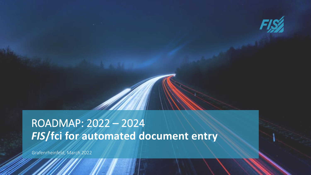

# *FIS***/fci for automated document entry** ROADMAP: 2022 – 2024

Grafenrheinfeld, March 2022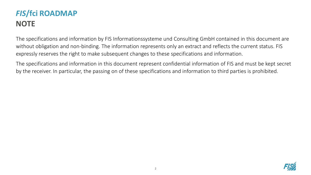# *FIS***/fci ROADMAP NOTE**

The specifications and information by FIS Informationssysteme und Consulting GmbH contained in this document are without obligation and non-binding. The information represents only an extract and reflects the current status. FIS expressly reserves the right to make subsequent changes to these specifications and information.

The specifications and information in this document represent confidential information of FIS and must be kept secret by the receiver. In particular, the passing on of these specifications and information to third parties is prohibited.

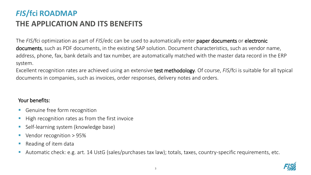# *FIS***/fci ROADMAP THE APPLICATION AND ITS BENEFITS**

The *FIS*/fci optimization as part of *FIS*/edc can be used to automatically enter paper documents or electronic documents, such as PDF documents, in the existing SAP solution. Document characteristics, such as vendor name, address, phone, fax, bank details and tax number, are automatically matched with the master data record in the ERP system.

Excellent recognition rates are achieved using an extensive test methodology. Of course, *FIS*/fci is suitable for all typical documents in companies, such as invoices, order responses, delivery notes and orders.

#### Your benefits:

- Genuine free form recognition
- High recognition rates as from the first invoice
- Self-learning system (knowledge base)
- Vendor recognition > 95%
- Reading of item data
- Automatic check: e.g. art. 14 UstG (sales/purchases tax law); totals, taxes, country-specific requirements, etc.

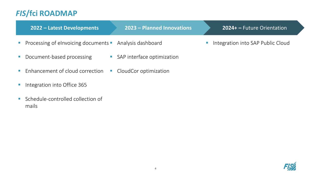### *FIS***/fci ROADMAP**

| 2022 - Latest Developments                                | 2023 - Planned Innovations   | 2024+ - Future Orientation                                       |
|-----------------------------------------------------------|------------------------------|------------------------------------------------------------------|
| • Processing of elnvoicing documents • Analysis dashboard |                              | Integration into SAP Public Cloud<br>$\mathcal{L}_{\mathcal{A}}$ |
| • Document-based processing                               | • SAP interface optimization |                                                                  |
| • Enhancement of cloud correction                         | • CloudCor optimization      |                                                                  |

- **Integration into Office 365**
- Schedule-controlled collection of mails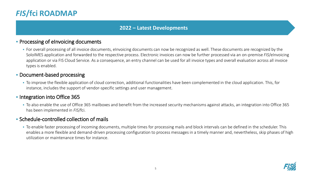### *FIS***/fci ROADMAP**

#### **2022 – Latest Developments**

#### **• Processing of eInvoicing documents**

• For overall processing of all invoice documents, eInvoicing documents can now be recognized as well. These documents are recognized by the SoloIMES application and forwarded to the respective process. Electronic invoices can now be further processed via an on-premise *FIS*/eInvoicing application or via FIS Cloud Service. As a consequence, an entry channel can be used for all invoice types and overall evaluation across all invoice types is enabled.

#### **• Document-based processing**

▪ To improve the flexible application of cloud correction, additional functionalities have been complemented in the cloud application. This, for instance, includes the support of vendor-specific settings and user management.

#### **• Integration into Office 365**

▪ To also enable the use of Office 365 mailboxes and benefit from the increased security mechanisms against attacks, an integration into Office 365 has been implemented in *FIS*/fci.

#### ▪ Schedule-controlled collection of mails

▪ To enable faster processing of incoming documents, multiple times for processing mails and block intervals can be defined in the scheduler. This enables a more flexible and demand-driven processing configuration to process messages in a timely manner and, nevertheless, skip phases of high utilization or maintenance times for instance.

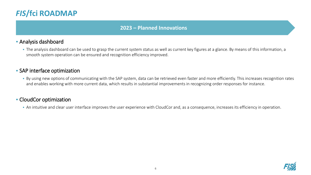### *FIS***/fci ROADMAP**

#### **2023 – Planned Innovations**

#### ▪ Analysis dashboard

▪ The analysis dashboard can be used to grasp the current system status as well as current key figures at a glance. By means of this information, a smooth system operation can be ensured and recognition efficiency improved.

#### **- SAP interface optimization**

■ By using new options of communicating with the SAP system, data can be retrieved even faster and more efficiently. This increases recognition rates and enables working with more current data, which results in substantial improvements in recognizing order responses for instance.

#### ▪ CloudCor optimization

▪ An intuitive and clear user interface improves the user experience with CloudCor and, as a consequence, increases its efficiency in operation.